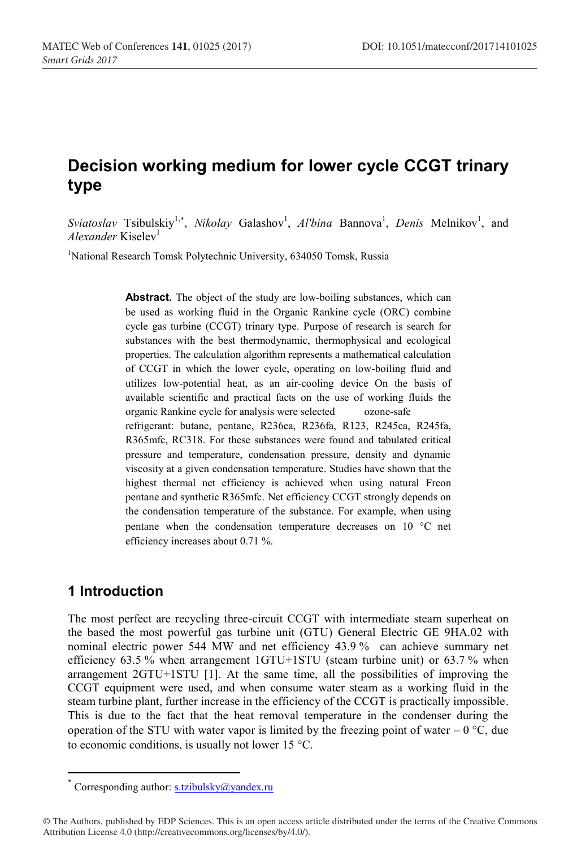# **Decision working medium for lower cycle CCGT trinary type**

Sviatoslav Tsibulskiy<sup>1,\*</sup>, *Nikolay* Galashov<sup>1</sup>, *Al'bina* Bannova<sup>1</sup>, *Denis* Melnikov<sup>1</sup>, and *Alexander* Kiselev<sup>1</sup>

<sup>1</sup>National Research Tomsk Polytechnic University, 634050 Tomsk, Russia

Abstract. The object of the study are low-boiling substances, which can be used as working fluid in the Organic Rankine cycle (ORC) combine cycle gas turbine (CCGT) trinary type. Purpose of research is search for substances with the best thermodynamic, thermophysical and ecological properties. The calculation algorithm represents a mathematical calculation of CCGT in which the lower cycle, operating on low-boiling fluid and utilizes low-potential heat, as an air-cooling device On the basis of available scientific and practical facts on the use of working fluids the organic Rankine cycle for analysis were selected ozone-safe refrigerant: butane, pentane, R236ea, R236fa, R123, R245ca, R245fа, R365mfc, RC318. For these substances were found and tabulated critical pressure and temperature, condensation pressure, density and dynamic viscosity at a given condensation temperature. Studies have shown that the highest thermal net efficiency is achieved when using natural Freon pentane and synthetic R365mfc. Net efficiency CCGT strongly depends on the condensation temperature of the substance. For example, when using pentane when the condensation temperature decreases on  $10\degree\text{C}$  net efficiency increases about 0.71 %.

#### **1 Introduction**

The most perfect are recycling three-circuit CCGT with intermediate steam superheat on the based the most powerful gas turbine unit (GTU) General Electric GE 9HA.02 with nominal electric power 544 MW and net efficiency 43.9 % can achieve summary net efficiency 63.5 % when arrangement 1GTU+1STU (steam turbine unit) or 63.7 % when arrangement 2GTU+1STU [1]. At the same time, all the possibilities of improving the CCGT equipment were used, and when consume water steam as a working fluid in the steam turbine plant, further increase in the efficiency of the CCGT is practically impossible. This is due to the fact that the heat removal temperature in the condenser during the operation of the STU with water vapor is limited by the freezing point of water – 0  $^{\circ}$ C, due to economic conditions, is usually not lower 15  $\degree$ C.

Corresponding author:  $s.tzibulsky@yandex.ru$ 

<sup>©</sup> The Authors, published by EDP Sciences. This is an open access article distributed under the terms of the Creative Commons Attribution License 4.0 (http://creativecommons.org/licenses/by/4.0/).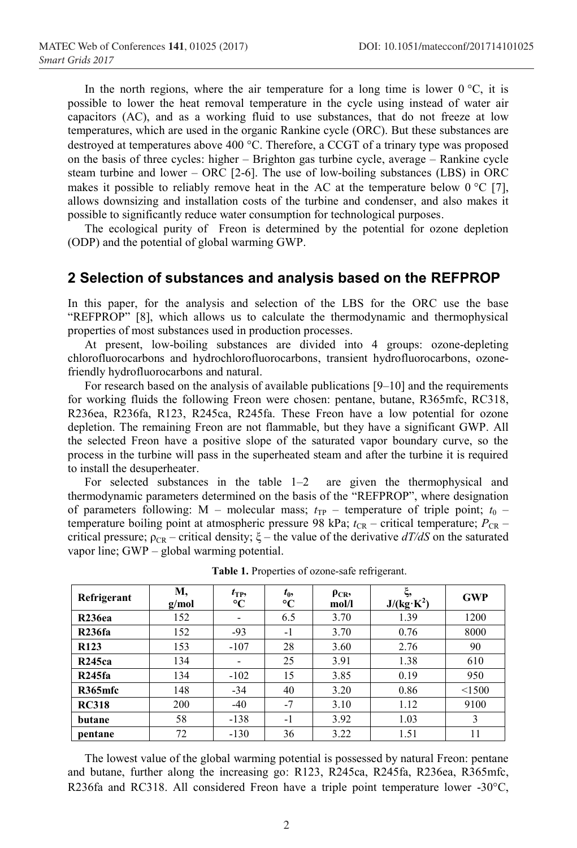In the north regions, where the air temperature for a long time is lower  $0^{\circ}C$ , it is possible to lower the heat removal temperature in the cycle using instead of water air capacitors (AC), and as a working fluid to use substances, that do not freeze at low temperatures, which are used in the organic Rankine cycle (ОRC). But these substances are destroyed at temperatures above 400 °C. Therefore, a CCGT of a trinary type was proposed on the basis of three cycles: higher – Brighton gas turbine cycle, average – Rankine cycle steam turbine and lower – ОRC [2-6]. The use of low-boiling substances (LBS) in ORC makes it possible to reliably remove heat in the AC at the temperature below  $0^{\circ}C$  [7], allows downsizing and installation costs of the turbine and condenser, and also makes it possible to significantly reduce water consumption for technological purposes.

The ecological purity of Freon is determined by the potential for ozone depletion (ODP) and the potential of global warming GWP.

#### **2 Selection of substances and analysis based on the REFPROP**

In this paper, for the analysis and selection of the LBS for the ORC use the base "REFPROP" [8], which allows us to calculate the thermodynamic and thermophysical properties of most substances used in production processes.

At present, low-boiling substances are divided into 4 groups: ozone-depleting chlorofluorocarbons and hydrochlorofluorocarbons, transient hydrofluorocarbons, ozonefriendly hydrofluorocarbons and natural.

For research based on the analysis of available publications [9–10] and the requirements for working fluids the following Freon were chosen: pentane, butane, R365mfc, RC318, R236ea, R236fa, R123, R245ca, R245fa. These Freon have a low potential for ozone depletion. The remaining Freon are not flammable, but they have a significant GWP. All the selected Freon have a positive slope of the saturated vapor boundary curve, so the process in the turbine will pass in the superheated steam and after the turbine it is required to install the desuperheater.

For selected substances in the table 1–2 are given the thermophysical and thermodynamic parameters determined on the basis of the "REFPROP", where designation of parameters following: M – molecular mass;  $t_{\text{TP}}$  – temperature of triple point;  $t_0$  – temperature boiling point at atmospheric pressure 98 kPa;  $t_{CR}$  – critical temperature;  $P_{CR}$  – critical pressure;  $\rho_{CR}$  – critical density;  $\xi$  – the value of the derivative  $dT/dS$  on the saturated vapor line; GWP – global warming potential.

| Refrigerant      | M,<br>g/mol | $t_{TP}$<br>$\rm ^{\circ}C$ | $t_{0}$<br>$\rm ^{\circ}C$ | $\rho_{CR}$<br>mol/l | ξ,<br>$J/(kg \cdot K^2)$ | <b>GWP</b> |
|------------------|-------------|-----------------------------|----------------------------|----------------------|--------------------------|------------|
| R236ea           | 152         | $\overline{\phantom{0}}$    | 6.5                        | 3.70                 | 1.39                     | 1200       |
| R236fa           | 152         | $-93$                       | -1                         | 3.70                 | 0.76                     | 8000       |
| R <sub>123</sub> | 153         | $-107$                      | 28                         | 3.60                 | 2.76                     | 90         |
| <b>R245ca</b>    | 134         | -                           | 25                         | 3.91                 | 1.38                     | 610        |
| R245fa           | 134         | $-102$                      | 15                         | 3.85                 | 0.19                     | 950        |
| R365mfc          | 148         | $-34$                       | 40                         | 3.20                 | 0.86                     | < 1500     |
| <b>RC318</b>     | 200         | $-40$                       | $-7$                       | 3.10                 | 1.12                     | 9100       |
| butane           | 58          | $-138$                      | $-1$                       | 3.92                 | 1.03                     | 3          |
| pentane          | 72          | $-130$                      | 36                         | 3.22                 | 1.51                     | 11         |

**Table 1.** Properties of ozone-safe refrigerant.

The lowest value of the global warming potential is possessed by natural Freon: pentane and butane, further along the increasing go: R123, R245ca, R245fa, R236ea, R365mfc, R236fa and RC318. All considered Freon have a triple point temperature lower -30°C,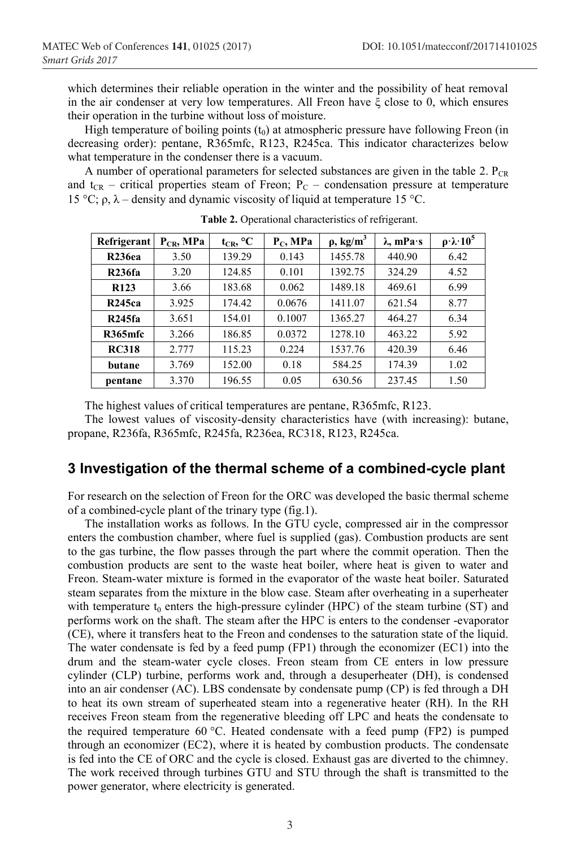which determines their reliable operation in the winter and the possibility of heat removal in the air condenser at very low temperatures. All Freon have ξ close to 0, which ensures their operation in the turbine without loss of moisture.

High temperature of boiling points  $(t_0)$  at atmospheric pressure have following Freon (in decreasing order): pentane, R365mfc, R123, R245ca. This indicator characterizes below what temperature in the condenser there is a vacuum.

A number of operational parameters for selected substances are given in the table 2.  $P_{CR}$ and  $t_{CR}$  – critical properties steam of Freon;  $P_C$  – condensation pressure at temperature 15 °C; ρ, λ – density and dynamic viscosity of liquid at temperature 15 °C.

| Refrigerant      | $P_{CR}$ , MPa | $t_{CR}$ , °C | $P_C$ , MPa | $\rho$ , kg/m <sup>3</sup> | $\lambda$ , mPa·s | $\rho \cdot \lambda \cdot 10^5$ |
|------------------|----------------|---------------|-------------|----------------------------|-------------------|---------------------------------|
| <b>R236ea</b>    | 3.50           | 139.29        | 0.143       | 1455.78                    | 440.90            | 6.42                            |
| R236fa           | 3.20           | 124.85        | 0.101       | 1392.75                    | 324.29            | 4.52                            |
| R <sub>123</sub> | 3.66           | 183.68        | 0.062       | 1489.18                    | 469.61            | 6.99                            |
| <b>R245ca</b>    | 3.925          | 174.42        | 0.0676      | 1411.07                    | 621.54            | 8.77                            |
| R245fa           | 3.651          | 154.01        | 0.1007      | 1365.27                    | 464.27            | 6.34                            |
| R365mfc          | 3.266          | 186.85        | 0.0372      | 1278.10                    | 463.22            | 5.92                            |
| <b>RC318</b>     | 2.777          | 115.23        | 0.224       | 1537.76                    | 420.39            | 6.46                            |
| butane           | 3.769          | 152.00        | 0.18        | 584.25                     | 174.39            | 1.02                            |
| pentane          | 3.370          | 196.55        | 0.05        | 630.56                     | 237.45            | 1.50                            |

**Table 2.** Operational characteristics of refrigerant.

The highest values of critical temperatures are pentane, R365mfc, R123.

The lowest values of viscosity-density characteristics have (with increasing): butane, propane, R236fa, R365mfc, R245fa, R236ea, RC318, R123, R245ca.

#### **3 Investigation of the thermal scheme of a combined-cycle plant**

For research on the selection of Freon for the ORC was developed the basic thermal scheme of a combined-cycle plant of the trinary type (fig.1).

The installation works as follows. In the GTU cycle, compressed air in the compressor enters the combustion chamber, where fuel is supplied (gas). Combustion products are sent to the gas turbine, the flow passes through the part where the commit operation. Then the combustion products are sent to the waste heat boiler, where heat is given to water and Freon. Steam-water mixture is formed in the evaporator of the waste heat boiler. Saturated steam separates from the mixture in the blow case. Steam after overheating in a superheater with temperature t<sub>0</sub> enters the high-pressure cylinder (HPC) of the steam turbine (ST) and performs work on the shaft. The steam after the HPC is enters to the condenser -evaporator (CE), where it transfers heat to the Freon and condenses to the saturation state of the liquid. The water condensate is fed by a feed pump (FP1) through the economizer (EC1) into the drum and the steam-water cycle closes. Freon steam from CE enters in low pressure cylinder (CLP) turbine, performs work and, through a desuperheater (DH), is condensed into an air condenser (AC). LBS condensate by condensate pump (CP) is fed through a DH to heat its own stream of superheated steam into a regenerative heater (RH). In the RH receives Freon steam from the regenerative bleeding off LPC and heats the condensate to the required temperature 60 °C. Heated condensate with a feed pump (FP2) is pumped through an economizer (EC2), where it is heated by combustion products. The condensate is fed into the CE of ORC and the cycle is closed. Exhaust gas are diverted to the chimney. The work received through turbines GTU and STU through the shaft is transmitted to the power generator, where electricity is generated.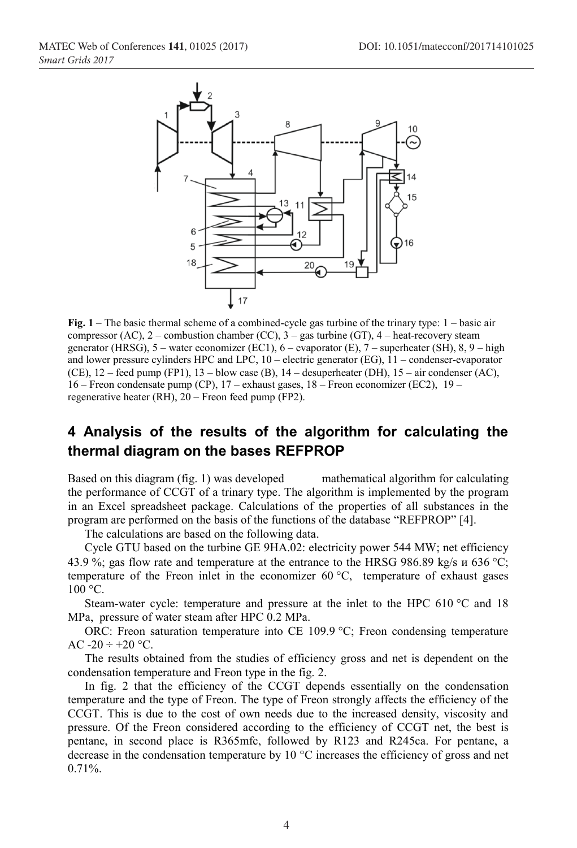

**Fig. 1** – The basic thermal scheme of a combined-cycle gas turbine of the trinary type: 1 – basic air compressor  $(AC)$ , 2 – combustion chamber  $(CC)$ , 3 – gas turbine  $(GT)$ , 4 – heat-recovery steam generator (HRSG),  $5$  – water economizer (EC1),  $6$  – evaporator (E),  $7$  – superheater (SH),  $8, 9$  – high and lower pressure cylinders HPC and LPC, 10 – electric generator (EG), 11 – condenser-evaporator (CE),  $12$  – feed pump (FP1),  $13$  – blow case (B),  $14$  – desuperheater (DH),  $15$  – air condenser (AC), 16 – Freon condensate pump (CP), 17 – exhaust gases, 18 – Freon economizer (EC2), 19 – regenerative heater (RH), 20 – Freon feed pump (FP2).

## **4 Analysis of the results of the algorithm for calculating the thermal diagram on the bases REFPROP**

Based on this diagram (fig. 1) was developed mathematical algorithm for calculating the performance of CCGT of a trinary type. The algorithm is implemented by the program in an Excel spreadsheet package. Calculations of the properties of all substances in the program are performed on the basis of the functions of the database "REFPROP" [4].

The calculations are based on the following data.

Cycle GTU based on the turbine GE 9HA.02: electricity power 544 MW; net efficiency 43.9 %; gas flow rate and temperature at the entrance to the HRSG 986.89 kg/s  $u$  636 °C; temperature of the Freon inlet in the economizer 60 °С, temperature of exhaust gases 100 °С.

Steam-water cycle: temperature and pressure at the inlet to the HPC 610 °C and 18 MPa, pressure of water steam after HPC 0.2 MPa.

ORC: Freon saturation temperature into CE 109.9 °С; Freon condensing temperature AC  $-20 \div 20$  °C.

The results obtained from the studies of efficiency gross and net is dependent on the condensation temperature and Freon type in the fig. 2.

In fig. 2 that the efficiency of the CCGT depends essentially on the condensation temperature and the type of Freon. The type of Freon strongly affects the efficiency of the CCGT. This is due to the cost of own needs due to the increased density, viscosity and pressure. Of the Freon considered according to the efficiency of CCGT net, the best is pentane, in second place is R365mfc, followed by R123 and R245ca. For pentane, a decrease in the condensation temperature by 10 °C increases the efficiency of gross and net  $0.71\%$ .